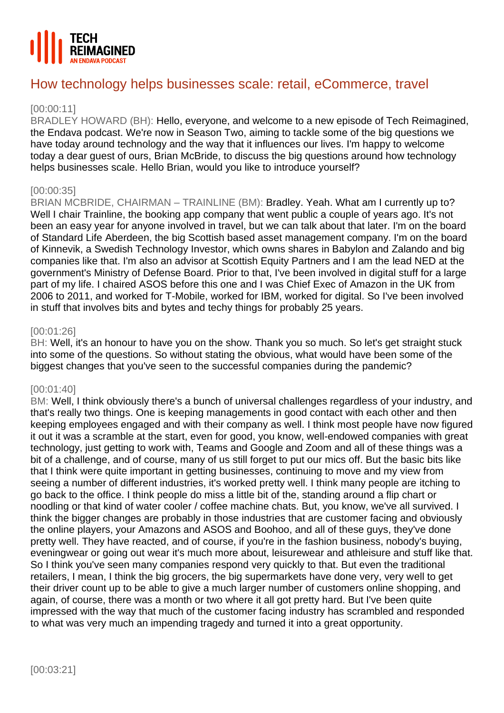

# How technology helps businesses scale: retail, eCommerce, travel

# [00:00:11]

BRADLEY HOWARD (BH): Hello, everyone, and welcome to a new episode of Tech Reimagined, the Endava podcast. We're now in Season Two, aiming to tackle some of the big questions we have today around technology and the way that it influences our lives. I'm happy to welcome today a dear guest of ours, Brian McBride, to discuss the big questions around how technology helps businesses scale. Hello Brian, would you like to introduce yourself?

# [00:00:35]

BRIAN MCBRIDE, CHAIRMAN – TRAINLINE (BM): Bradley. Yeah. What am I currently up to? Well I chair Trainline, the booking app company that went public a couple of years ago. It's not been an easy year for anyone involved in travel, but we can talk about that later. I'm on the board of Standard Life Aberdeen, the big Scottish based asset management company. I'm on the board of Kinnevik, a Swedish Technology Investor, which owns shares in Babylon and Zalando and big companies like that. I'm also an advisor at Scottish Equity Partners and I am the lead NED at the government's Ministry of Defense Board. Prior to that, I've been involved in digital stuff for a large part of my life. I chaired ASOS before this one and I was Chief Exec of Amazon in the UK from 2006 to 2011, and worked for T-Mobile, worked for IBM, worked for digital. So I've been involved in stuff that involves bits and bytes and techy things for probably 25 years.

## [00:01:26]

BH: Well, it's an honour to have you on the show. Thank you so much. So let's get straight stuck into some of the questions. So without stating the obvious, what would have been some of the biggest changes that you've seen to the successful companies during the pandemic?

# [00:01:40]

BM: Well, I think obviously there's a bunch of universal challenges regardless of your industry, and that's really two things. One is keeping managements in good contact with each other and then keeping employees engaged and with their company as well. I think most people have now figured it out it was a scramble at the start, even for good, you know, well-endowed companies with great technology, just getting to work with, Teams and Google and Zoom and all of these things was a bit of a challenge, and of course, many of us still forget to put our mics off. But the basic bits like that I think were quite important in getting businesses, continuing to move and my view from seeing a number of different industries, it's worked pretty well. I think many people are itching to go back to the office. I think people do miss a little bit of the, standing around a flip chart or noodling or that kind of water cooler / coffee machine chats. But, you know, we've all survived. I think the bigger changes are probably in those industries that are customer facing and obviously the online players, your Amazons and ASOS and Boohoo, and all of these guys, they've done pretty well. They have reacted, and of course, if you're in the fashion business, nobody's buying, eveningwear or going out wear it's much more about, leisurewear and athleisure and stuff like that. So I think you've seen many companies respond very quickly to that. But even the traditional retailers, I mean, I think the big grocers, the big supermarkets have done very, very well to get their driver count up to be able to give a much larger number of customers online shopping, and again, of course, there was a month or two where it all got pretty hard. But I've been quite impressed with the way that much of the customer facing industry has scrambled and responded to what was very much an impending tragedy and turned it into a great opportunity.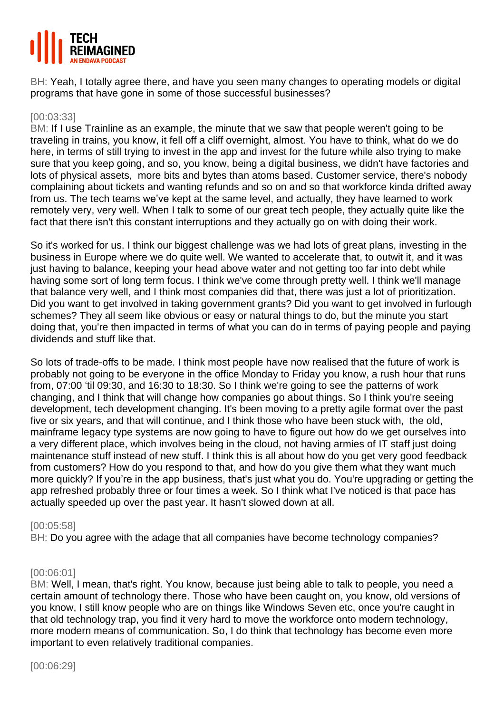

BH: Yeah, I totally agree there, and have you seen many changes to operating models or digital programs that have gone in some of those successful businesses?

## [00:03:33]

BM: If I use Trainline as an example, the minute that we saw that people weren't going to be traveling in trains, you know, it fell off a cliff overnight, almost. You have to think, what do we do here, in terms of still trying to invest in the app and invest for the future while also trying to make sure that you keep going, and so, you know, being a digital business, we didn't have factories and lots of physical assets, more bits and bytes than atoms based. Customer service, there's nobody complaining about tickets and wanting refunds and so on and so that workforce kinda drifted away from us. The tech teams we've kept at the same level, and actually, they have learned to work remotely very, very well. When I talk to some of our great tech people, they actually quite like the fact that there isn't this constant interruptions and they actually go on with doing their work.

So it's worked for us. I think our biggest challenge was we had lots of great plans, investing in the business in Europe where we do quite well. We wanted to accelerate that, to outwit it, and it was just having to balance, keeping your head above water and not getting too far into debt while having some sort of long term focus. I think we've come through pretty well. I think we'll manage that balance very well, and I think most companies did that, there was just a lot of prioritization. Did you want to get involved in taking government grants? Did you want to get involved in furlough schemes? They all seem like obvious or easy or natural things to do, but the minute you start doing that, you're then impacted in terms of what you can do in terms of paying people and paying dividends and stuff like that.

So lots of trade-offs to be made. I think most people have now realised that the future of work is probably not going to be everyone in the office Monday to Friday you know, a rush hour that runs from, 07:00 'til 09:30, and 16:30 to 18:30. So I think we're going to see the patterns of work changing, and I think that will change how companies go about things. So I think you're seeing development, tech development changing. It's been moving to a pretty agile format over the past five or six years, and that will continue, and I think those who have been stuck with, the old, mainframe legacy type systems are now going to have to figure out how do we get ourselves into a very different place, which involves being in the cloud, not having armies of IT staff just doing maintenance stuff instead of new stuff. I think this is all about how do you get very good feedback from customers? How do you respond to that, and how do you give them what they want much more quickly? If you're in the app business, that's just what you do. You're upgrading or getting the app refreshed probably three or four times a week. So I think what I've noticed is that pace has actually speeded up over the past year. It hasn't slowed down at all.

## [00:05:58]

BH: Do you agree with the adage that all companies have become technology companies?

## [00:06:01]

BM: Well, I mean, that's right. You know, because just being able to talk to people, you need a certain amount of technology there. Those who have been caught on, you know, old versions of you know, I still know people who are on things like Windows Seven etc, once you're caught in that old technology trap, you find it very hard to move the workforce onto modern technology, more modern means of communication. So, I do think that technology has become even more important to even relatively traditional companies.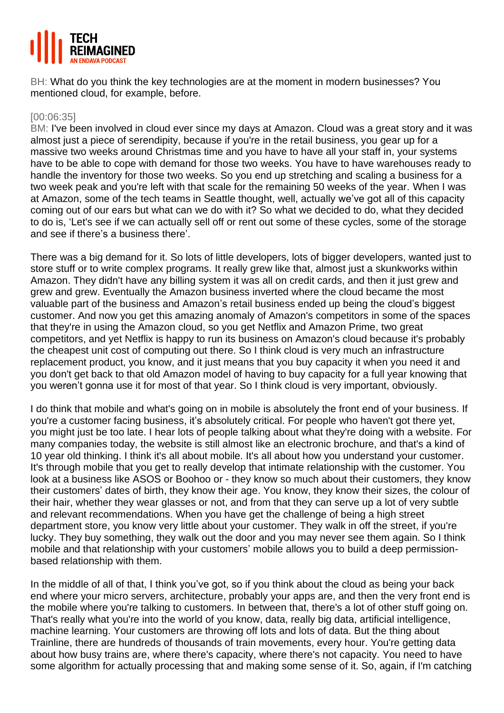

BH: What do you think the key technologies are at the moment in modern businesses? You mentioned cloud, for example, before.

## [00:06:35]

BM: I've been involved in cloud ever since my days at Amazon. Cloud was a great story and it was almost just a piece of serendipity, because if you're in the retail business, you gear up for a massive two weeks around Christmas time and you have to have all your staff in, your systems have to be able to cope with demand for those two weeks. You have to have warehouses ready to handle the inventory for those two weeks. So you end up stretching and scaling a business for a two week peak and you're left with that scale for the remaining 50 weeks of the year. When I was at Amazon, some of the tech teams in Seattle thought, well, actually we've got all of this capacity coming out of our ears but what can we do with it? So what we decided to do, what they decided to do is, 'Let's see if we can actually sell off or rent out some of these cycles, some of the storage and see if there's a business there'.

There was a big demand for it. So lots of little developers, lots of bigger developers, wanted just to store stuff or to write complex programs. It really grew like that, almost just a skunkworks within Amazon. They didn't have any billing system it was all on credit cards, and then it just grew and grew and grew. Eventually the Amazon business inverted where the cloud became the most valuable part of the business and Amazon's retail business ended up being the cloud's biggest customer. And now you get this amazing anomaly of Amazon's competitors in some of the spaces that they're in using the Amazon cloud, so you get Netflix and Amazon Prime, two great competitors, and yet Netflix is happy to run its business on Amazon's cloud because it's probably the cheapest unit cost of computing out there. So I think cloud is very much an infrastructure replacement product, you know, and it just means that you buy capacity it when you need it and you don't get back to that old Amazon model of having to buy capacity for a full year knowing that you weren't gonna use it for most of that year. So I think cloud is very important, obviously.

I do think that mobile and what's going on in mobile is absolutely the front end of your business. If you're a customer facing business, it's absolutely critical. For people who haven't got there yet, you might just be too late. I hear lots of people talking about what they're doing with a website. For many companies today, the website is still almost like an electronic brochure, and that's a kind of 10 year old thinking. I think it's all about mobile. It's all about how you understand your customer. It's through mobile that you get to really develop that intimate relationship with the customer. You look at a business like ASOS or Boohoo or - they know so much about their customers, they know their customers' dates of birth, they know their age. You know, they know their sizes, the colour of their hair, whether they wear glasses or not, and from that they can serve up a lot of very subtle and relevant recommendations. When you have get the challenge of being a high street department store, you know very little about your customer. They walk in off the street, if you're lucky. They buy something, they walk out the door and you may never see them again. So I think mobile and that relationship with your customers' mobile allows you to build a deep permissionbased relationship with them.

In the middle of all of that, I think you've got, so if you think about the cloud as being your back end where your micro servers, architecture, probably your apps are, and then the very front end is the mobile where you're talking to customers. In between that, there's a lot of other stuff going on. That's really what you're into the world of you know, data, really big data, artificial intelligence, machine learning. Your customers are throwing off lots and lots of data. But the thing about Trainline, there are hundreds of thousands of train movements, every hour. You're getting data about how busy trains are, where there's capacity, where there's not capacity. You need to have some algorithm for actually processing that and making some sense of it. So, again, if I'm catching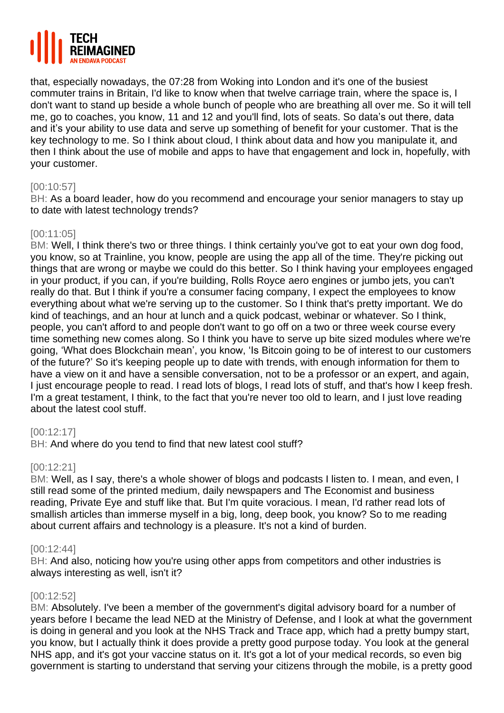

that, especially nowadays, the 07:28 from Woking into London and it's one of the busiest commuter trains in Britain, I'd like to know when that twelve carriage train, where the space is, I don't want to stand up beside a whole bunch of people who are breathing all over me. So it will tell me, go to coaches, you know, 11 and 12 and you'll find, lots of seats. So data's out there, data and it's your ability to use data and serve up something of benefit for your customer. That is the key technology to me. So I think about cloud, I think about data and how you manipulate it, and then I think about the use of mobile and apps to have that engagement and lock in, hopefully, with your customer.

## [00:10:57]

BH: As a board leader, how do you recommend and encourage your senior managers to stay up to date with latest technology trends?

## [00:11:05]

BM: Well, I think there's two or three things. I think certainly you've got to eat your own dog food, you know, so at Trainline, you know, people are using the app all of the time. They're picking out things that are wrong or maybe we could do this better. So I think having your employees engaged in your product, if you can, if you're building, Rolls Royce aero engines or jumbo jets, you can't really do that. But I think if you're a consumer facing company, I expect the employees to know everything about what we're serving up to the customer. So I think that's pretty important. We do kind of teachings, and an hour at lunch and a quick podcast, webinar or whatever. So I think, people, you can't afford to and people don't want to go off on a two or three week course every time something new comes along. So I think you have to serve up bite sized modules where we're going, 'What does Blockchain mean', you know, 'Is Bitcoin going to be of interest to our customers of the future?' So it's keeping people up to date with trends, with enough information for them to have a view on it and have a sensible conversation, not to be a professor or an expert, and again, I just encourage people to read. I read lots of blogs, I read lots of stuff, and that's how I keep fresh. I'm a great testament, I think, to the fact that you're never too old to learn, and I just love reading about the latest cool stuff.

## [00:12:17]

BH: And where do you tend to find that new latest cool stuff?

# [00:12:21]

BM: Well, as I say, there's a whole shower of blogs and podcasts I listen to. I mean, and even, I still read some of the printed medium, daily newspapers and The Economist and business reading, Private Eye and stuff like that. But I'm quite voracious. I mean, I'd rather read lots of smallish articles than immerse myself in a big, long, deep book, you know? So to me reading about current affairs and technology is a pleasure. It's not a kind of burden.

## [00:12:44]

BH: And also, noticing how you're using other apps from competitors and other industries is always interesting as well, isn't it?

## [00:12:52]

BM: Absolutely. I've been a member of the government's digital advisory board for a number of years before I became the lead NED at the Ministry of Defense, and I look at what the government is doing in general and you look at the NHS Track and Trace app, which had a pretty bumpy start, you know, but I actually think it does provide a pretty good purpose today. You look at the general NHS app, and it's got your vaccine status on it. It's got a lot of your medical records, so even big government is starting to understand that serving your citizens through the mobile, is a pretty good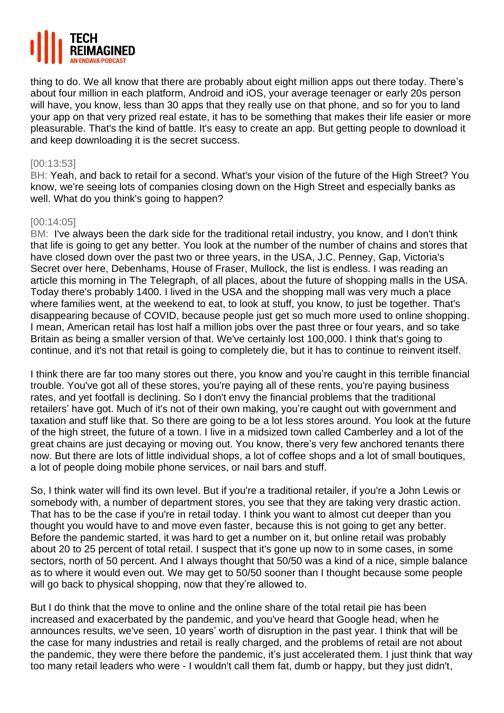

thing to do. We all know that there are probably about eight million apps out there today. There's about four million in each platform, Android and iOS, your average teenager or early 20s person will have, you know, less than 30 apps that they really use on that phone, and so for you to land your app on that very prized real estate, it has to be something that makes their life easier or more pleasurable. That's the kind of battle. It's easy to create an app. But getting people to download it and keep downloading it is the secret success.

# [00:13:53]

BH: Yeah, and back to retail for a second. What's your vision of the future of the High Street? You know, we're seeing lots of companies closing down on the High Street and especially banks as well. What do you think's going to happen?

# [00:14:05]

BM: I've always been the dark side for the traditional retail industry, you know, and I don't think that life is going to get any better. You look at the number of the number of chains and stores that have closed down over the past two or three years, in the USA, J.C. Penney, Gap, Victoria's Secret over here, Debenhams, House of Fraser, Mullock, the list is endless. I was reading an article this morning in The Telegraph, of all places, about the future of shopping malls in the USA. Today there's probably 1400. I lived in the USA and the shopping mall was very much a place where families went, at the weekend to eat, to look at stuff, you know, to just be together. That's disappearing because of COVID, because people just get so much more used to online shopping. I mean, American retail has lost half a million jobs over the past three or four years, and so take Britain as being a smaller version of that. We've certainly lost 100,000. I think that's going to continue, and it's not that retail is going to completely die, but it has to continue to reinvent itself.

I think there are far too many stores out there, you know and you're caught in this terrible financial trouble. You've got all of these stores, you're paying all of these rents, you're paying business rates, and yet footfall is declining. So I don't envy the financial problems that the traditional retailers' have got. Much of it's not of their own making, you're caught out with government and taxation and stuff like that. So there are going to be a lot less stores around. You look at the future of the high street, the future of a town. I live in a midsized town called Camberley and a lot of the great chains are just decaying or moving out. You know, there's very few anchored tenants there now. But there are lots of little individual shops, a lot of coffee shops and a lot of small boutiques, a lot of people doing mobile phone services, or nail bars and stuff.

So, I think water will find its own level. But if you're a traditional retailer, if you're a John Lewis or somebody with, a number of department stores, you see that they are taking very drastic action. That has to be the case if you're in retail today. I think you want to almost cut deeper than you thought you would have to and move even faster, because this is not going to get any better. Before the pandemic started, it was hard to get a number on it, but online retail was probably about 20 to 25 percent of total retail. I suspect that it's gone up now to in some cases, in some sectors, north of 50 percent. And I always thought that 50/50 was a kind of a nice, simple balance as to where it would even out. We may get to 50/50 sooner than I thought because some people will go back to physical shopping, now that they're allowed to.

But I do think that the move to online and the online share of the total retail pie has been increased and exacerbated by the pandemic, and you've heard that Google head, when he announces results, we've seen, 10 years' worth of disruption in the past year. I think that will be the case for many industries and retail is really charged, and the problems of retail are not about the pandemic, they were there before the pandemic, it's just accelerated them. I just think that way too many retail leaders who were - I wouldn't call them fat, dumb or happy, but they just didn't,